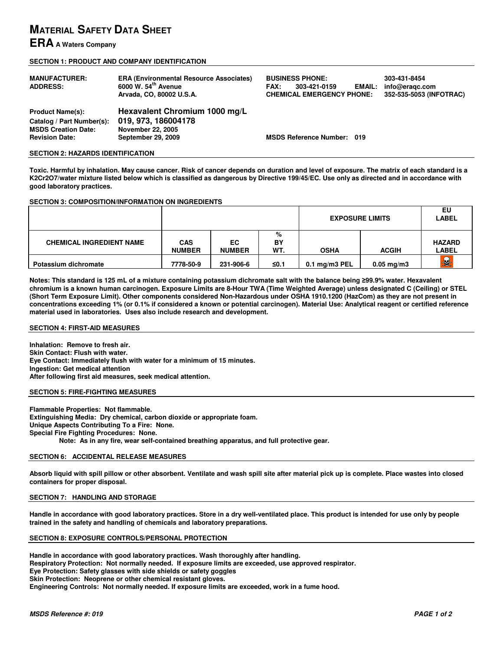# **MATERIAL SAFETY DATA SHEET**

## **ERA A Waters Company**

### **SECTION 1: PRODUCT AND COMPANY IDENTIFICATION**

| <b>MANUFACTURER:</b><br><b>ADDRESS:</b>                                                                     | <b>ERA (Environmental Resource Associates)</b><br>6000 W. 54 <sup>th</sup> Avenue<br>Arvada, CO, 80002 U.S.A. | <b>BUSINESS PHONE:</b><br><b>EMAIL:</b><br><b>FAX:</b><br>303-421-0159<br><b>CHEMICAL EMERGENCY PHONE:</b> | 303-431-8454<br>info@eragc.com<br>352-535-5053 (INFOTRAC) |
|-------------------------------------------------------------------------------------------------------------|---------------------------------------------------------------------------------------------------------------|------------------------------------------------------------------------------------------------------------|-----------------------------------------------------------|
| <b>Product Name(s):</b><br>Catalog / Part Number(s):<br><b>MSDS Creation Date:</b><br><b>Revision Date:</b> | Hexavalent Chromium 1000 mg/L<br>019, 973, 186004178<br><b>November 22, 2005</b><br>September 29, 2009        | <b>MSDS Reference Number: 019</b>                                                                          |                                                           |

### **SECTION 2: HAZARDS IDENTIFICATION**

**Toxic. Harmful by inhalation. May cause cancer. Risk of cancer depends on duration and level of exposure. The matrix of each standard is a K2Cr2O7/water mixture listed below which is classified as dangerous by Directive 199/45/EC. Use only as directed and in accordance with good laboratory practices.** 

## **SECTION 3: COMPOSITION/INFORMATION ON INGREDIENTS**

|                                 |                             |                     |                | <b>EXPOSURE LIMITS</b> | EU<br><b>LABEL</b>    |                               |
|---------------------------------|-----------------------------|---------------------|----------------|------------------------|-----------------------|-------------------------------|
| <b>CHEMICAL INGREDIENT NAME</b> | <b>CAS</b><br><b>NUMBER</b> | EC<br><b>NUMBER</b> | %<br>BY<br>WT. | <b>OSHA</b>            | <b>ACGIH</b>          | <b>HAZARD</b><br><b>LABEL</b> |
| Potassium dichromate            | 7778-50-9                   | 231-906-6           | ≤0.1           | 0.1 mg/m3 $PEL$        | $0.05 \text{ mg/m}$ 3 | 是                             |

**Notes: This standard is 125 mL of a mixture containing potassium dichromate salt with the balance being** ≥**99.9% water. Hexavalent chromium is a known human carcinogen. Exposure Limits are 8-Hour TWA (Time Weighted Average) unless designated C (Ceiling) or STEL (Short Term Exposure Limit). Other components considered Non-Hazardous under OSHA 1910.1200 (HazCom) as they are not present in concentrations exceeding 1% (or 0.1% if considered a known or potential carcinogen). Material Use: Analytical reagent or certified reference material used in laboratories. Uses also include research and development.** 

### **SECTION 4: FIRST-AID MEASURES**

**Inhalation: Remove to fresh air. Skin Contact: Flush with water. Eye Contact: Immediately flush with water for a minimum of 15 minutes. Ingestion: Get medical attention After following first aid measures, seek medical attention.** 

### **SECTION 5: FIRE-FIGHTING MEASURES**

**Flammable Properties: Not flammable. Extinguishing Media: Dry chemical, carbon dioxide or appropriate foam. Unique Aspects Contributing To a Fire: None. Special Fire Fighting Procedures: None. Note: As in any fire, wear self-contained breathing apparatus, and full protective gear.** 

## **SECTION 6: ACCIDENTAL RELEASE MEASURES**

**Absorb liquid with spill pillow or other absorbent. Ventilate and wash spill site after material pick up is complete. Place wastes into closed containers for proper disposal.** 

## **SECTION 7: HANDLING AND STORAGE**

**Handle in accordance with good laboratory practices. Store in a dry well-ventilated place. This product is intended for use only by people trained in the safety and handling of chemicals and laboratory preparations.** 

## **SECTION 8: EXPOSURE CONTROLS/PERSONAL PROTECTION**

**Handle in accordance with good laboratory practices. Wash thoroughly after handling. Respiratory Protection: Not normally needed. If exposure limits are exceeded, use approved respirator. Eye Protection: Safety glasses with side shields or safety goggles Skin Protection: Neoprene or other chemical resistant gloves. Engineering Controls: Not normally needed. If exposure limits are exceeded, work in a fume hood.**